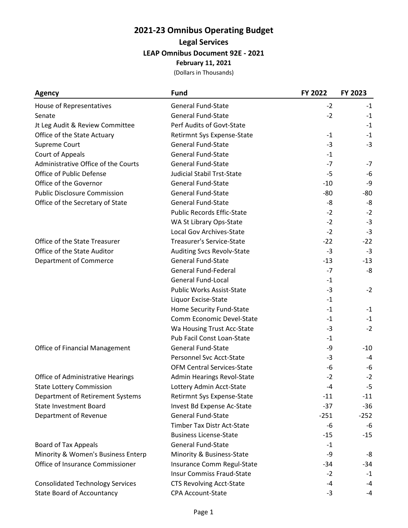## **Legal Services**

**LEAP Omnibus Document 92E - 2021**

**February 11, 2021**

| <b>Agency</b>                           | <b>Fund</b>                       | <b>FY 2022</b> | <b>FY 2023</b> |
|-----------------------------------------|-----------------------------------|----------------|----------------|
| House of Representatives                | <b>General Fund-State</b>         | $-2$           | $-1$           |
| Senate                                  | <b>General Fund-State</b>         | $-2$           | $-1$           |
| Jt Leg Audit & Review Committee         | Perf Audits of Govt-State         |                | $-1$           |
| Office of the State Actuary             | Retirmnt Sys Expense-State        | $-1$           | $-1$           |
| Supreme Court                           | <b>General Fund-State</b>         | $-3$           | $-3$           |
| Court of Appeals                        | <b>General Fund-State</b>         | $-1$           |                |
| Administrative Office of the Courts     | <b>General Fund-State</b>         | $-7$           | $-7$           |
| Office of Public Defense                | <b>Judicial Stabil Trst-State</b> | $-5$           | -6             |
| Office of the Governor                  | <b>General Fund-State</b>         | $-10$          | -9             |
| <b>Public Disclosure Commission</b>     | <b>General Fund-State</b>         | $-80$          | -80            |
| Office of the Secretary of State        | <b>General Fund-State</b>         | -8             | -8             |
|                                         | <b>Public Records Effic-State</b> | $-2$           | $-2$           |
|                                         | WA St Library Ops-State           | $-2$           | $-3$           |
|                                         | Local Gov Archives-State          | $-2$           | $-3$           |
| Office of the State Treasurer           | <b>Treasurer's Service-State</b>  | $-22$          | $-22$          |
| Office of the State Auditor             | <b>Auditing Svcs Revolv-State</b> | $-3$           | $-3$           |
| <b>Department of Commerce</b>           | <b>General Fund-State</b>         | $-13$          | $-13$          |
|                                         | <b>General Fund-Federal</b>       | $-7$           | -8             |
|                                         | <b>General Fund-Local</b>         | $-1$           |                |
|                                         | Public Works Assist-State         | $-3$           | $-2$           |
|                                         | Liquor Excise-State               | $-1$           |                |
|                                         | Home Security Fund-State          | $-1$           | $-1$           |
|                                         | Comm Economic Devel-State         | $-1$           | $-1$           |
|                                         | Wa Housing Trust Acc-State        | $-3$           | $-2$           |
|                                         | Pub Facil Const Loan-State        | $-1$           |                |
| <b>Office of Financial Management</b>   | <b>General Fund-State</b>         | -9             | $-10$          |
|                                         | Personnel Svc Acct-State          | $-3$           | $-4$           |
|                                         | <b>OFM Central Services-State</b> | -6             | -6             |
| Office of Administrative Hearings       | Admin Hearings Revol-State        | $-2$           | $-2$           |
| <b>State Lottery Commission</b>         | Lottery Admin Acct-State          | $-4$           | $-5$           |
| Department of Retirement Systems        | Retirmnt Sys Expense-State        | $-11$          | $-11$          |
| <b>State Investment Board</b>           | Invest Bd Expense Ac-State        | $-37$          | $-36$          |
| Department of Revenue                   | <b>General Fund-State</b>         | $-251$         | $-252$         |
|                                         | <b>Timber Tax Distr Act-State</b> | -6             | -6             |
|                                         | <b>Business License-State</b>     | $-15$          | $-15$          |
| <b>Board of Tax Appeals</b>             | <b>General Fund-State</b>         | $-1$           |                |
| Minority & Women's Business Enterp      | Minority & Business-State         | -9             | -8             |
| Office of Insurance Commissioner        | Insurance Comm Regul-State        | $-34$          | $-34$          |
|                                         | Insur Commiss Fraud-State         | $-2$           | $-1$           |
| <b>Consolidated Technology Services</b> | <b>CTS Revolving Acct-State</b>   | $-4$           | -4             |
| <b>State Board of Accountancy</b>       | CPA Account-State                 | $-3$           | -4             |
|                                         |                                   |                |                |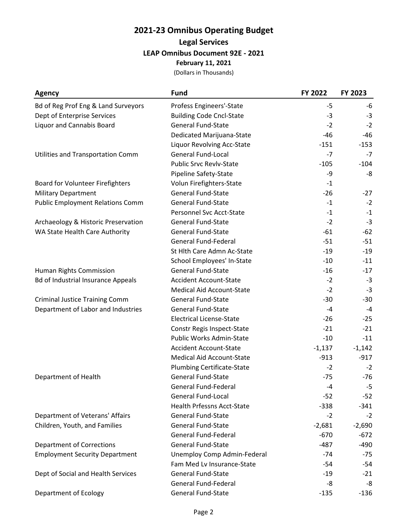## **Legal Services**

**LEAP Omnibus Document 92E - 2021**

**February 11, 2021**

| <b>Agency</b>                             | <b>Fund</b>                        | FY 2022  | FY 2023  |
|-------------------------------------------|------------------------------------|----------|----------|
| Bd of Reg Prof Eng & Land Surveyors       | Profess Engineers'-State           | $-5$     | -6       |
| Dept of Enterprise Services               | <b>Building Code Cncl-State</b>    | $-3$     | $-3$     |
| <b>Liquor and Cannabis Board</b>          | <b>General Fund-State</b>          | $-2$     | $-2$     |
|                                           | Dedicated Marijuana-State          | $-46$    | -46      |
|                                           | Liquor Revolving Acc-State         | $-151$   | $-153$   |
| Utilities and Transportation Comm         | <b>General Fund-Local</b>          | $-7$     | $-7$     |
|                                           | <b>Public Srvc Revlv-State</b>     | $-105$   | $-104$   |
|                                           | <b>Pipeline Safety-State</b>       | -9       | -8       |
| Board for Volunteer Firefighters          | Volun Firefighters-State           | $-1$     |          |
| <b>Military Department</b>                | <b>General Fund-State</b>          | $-26$    | $-27$    |
| <b>Public Employment Relations Comm</b>   | <b>General Fund-State</b>          | $-1$     | $-2$     |
|                                           | Personnel Svc Acct-State           | $-1$     | $-1$     |
| Archaeology & Historic Preservation       | <b>General Fund-State</b>          | $-2$     | $-3$     |
| WA State Health Care Authority            | <b>General Fund-State</b>          | $-61$    | $-62$    |
|                                           | <b>General Fund-Federal</b>        | $-51$    | $-51$    |
|                                           | St Hlth Care Admn Ac-State         | $-19$    | $-19$    |
|                                           | School Employees' In-State         | $-10$    | $-11$    |
| Human Rights Commission                   | <b>General Fund-State</b>          | -16      | $-17$    |
| <b>Bd of Industrial Insurance Appeals</b> | <b>Accident Account-State</b>      | $-2$     | $-3$     |
|                                           | <b>Medical Aid Account-State</b>   | $-2$     | $-3$     |
| <b>Criminal Justice Training Comm</b>     | <b>General Fund-State</b>          | $-30$    | $-30$    |
| Department of Labor and Industries        | <b>General Fund-State</b>          | $-4$     | $-4$     |
|                                           | <b>Electrical License-State</b>    | $-26$    | $-25$    |
|                                           | Constr Regis Inspect-State         | $-21$    | $-21$    |
|                                           | Public Works Admin-State           | $-10$    | $-11$    |
|                                           | <b>Accident Account-State</b>      | $-1,137$ | $-1,142$ |
|                                           | <b>Medical Aid Account-State</b>   | $-913$   | $-917$   |
|                                           | <b>Plumbing Certificate-State</b>  | $-2$     | $-2$     |
| Department of Health                      | <b>General Fund-State</b>          | $-75$    | $-76$    |
|                                           | General Fund-Federal               | -4       | -5       |
|                                           | <b>General Fund-Local</b>          | $-52$    | $-52$    |
|                                           | <b>Health Prfessns Acct-State</b>  | $-338$   | $-341$   |
| Department of Veterans' Affairs           | <b>General Fund-State</b>          | $-2$     | $-2$     |
| Children, Youth, and Families             | <b>General Fund-State</b>          | $-2,681$ | $-2,690$ |
|                                           | <b>General Fund-Federal</b>        | $-670$   | $-672$   |
| <b>Department of Corrections</b>          | <b>General Fund-State</b>          | $-487$   | $-490$   |
| <b>Employment Security Department</b>     | <b>Unemploy Comp Admin-Federal</b> | $-74$    | $-75$    |
|                                           | Fam Med Lv Insurance-State         | -54      | $-54$    |
| Dept of Social and Health Services        | <b>General Fund-State</b>          | $-19$    | $-21$    |
|                                           | General Fund-Federal               | -8       | -8       |
| Department of Ecology                     | <b>General Fund-State</b>          | $-135$   | $-136$   |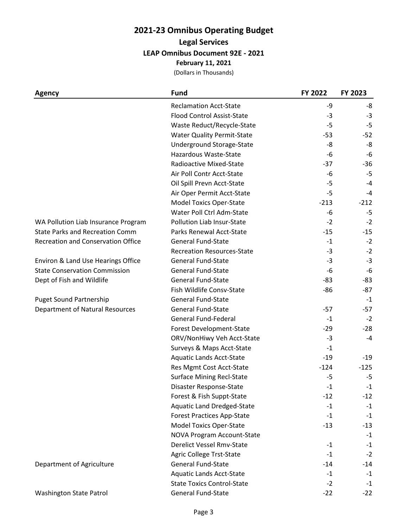## **Legal Services**

**LEAP Omnibus Document 92E - 2021**

**February 11, 2021**

| <b>Agency</b>                             | <b>Fund</b>                       | FY 2022 | FY 2023 |
|-------------------------------------------|-----------------------------------|---------|---------|
|                                           | <b>Reclamation Acct-State</b>     | -9      | -8      |
|                                           | <b>Flood Control Assist-State</b> | $-3$    | $-3$    |
|                                           | Waste Reduct/Recycle-State        | $-5$    | $-5$    |
|                                           | <b>Water Quality Permit-State</b> | $-53$   | $-52$   |
|                                           | Underground Storage-State         | -8      | -8      |
|                                           | Hazardous Waste-State             | -6      | -6      |
|                                           | <b>Radioactive Mixed-State</b>    | $-37$   | $-36$   |
|                                           | Air Poll Contr Acct-State         | -6      | -5      |
|                                           | Oil Spill Prevn Acct-State        | $-5$    | $-4$    |
|                                           | Air Oper Permit Acct-State        | $-5$    | $-4$    |
|                                           | <b>Model Toxics Oper-State</b>    | $-213$  | $-212$  |
|                                           | Water Poll Ctrl Adm-State         | -6      | -5      |
| WA Pollution Liab Insurance Program       | <b>Pollution Liab Insur-State</b> | $-2$    | $-2$    |
| <b>State Parks and Recreation Comm</b>    | Parks Renewal Acct-State          | $-15$   | $-15$   |
| <b>Recreation and Conservation Office</b> | <b>General Fund-State</b>         | $-1$    | $-2$    |
|                                           | <b>Recreation Resources-State</b> | $-3$    | $-2$    |
| Environ & Land Use Hearings Office        | General Fund-State                | $-3$    | $-3$    |
| <b>State Conservation Commission</b>      | <b>General Fund-State</b>         | -6      | -6      |
| Dept of Fish and Wildlife                 | <b>General Fund-State</b>         | -83     | -83     |
|                                           | Fish Wildlife Consv-State         | -86     | $-87$   |
| <b>Puget Sound Partnership</b>            | <b>General Fund-State</b>         |         | $-1$    |
| <b>Department of Natural Resources</b>    | <b>General Fund-State</b>         | -57     | $-57$   |
|                                           | <b>General Fund-Federal</b>       | $-1$    | $-2$    |
|                                           | Forest Development-State          | -29     | $-28$   |
|                                           | ORV/NonHiwy Veh Acct-State        | $-3$    | $-4$    |
|                                           | Surveys & Maps Acct-State         | $-1$    |         |
|                                           | <b>Aquatic Lands Acct-State</b>   | $-19$   | -19     |
|                                           | Res Mgmt Cost Acct-State          | $-124$  | $-125$  |
|                                           | <b>Surface Mining Recl-State</b>  | $-5$    | $-5$    |
|                                           | Disaster Response-State           | -1      | $-1$    |
|                                           | Forest & Fish Suppt-State         | $-12$   | $-12$   |
|                                           | <b>Aquatic Land Dredged-State</b> | $-1$    | $-1$    |
|                                           | <b>Forest Practices App-State</b> | $-1$    | $-1$    |
|                                           | <b>Model Toxics Oper-State</b>    | $-13$   | $-13$   |
|                                           | NOVA Program Account-State        |         | $-1$    |
|                                           | <b>Derelict Vessel Rmv-State</b>  | $-1$    | $-1$    |
|                                           | <b>Agric College Trst-State</b>   | $-1$    | $-2$    |
| Department of Agriculture                 | <b>General Fund-State</b>         | $-14$   | $-14$   |
|                                           | <b>Aquatic Lands Acct-State</b>   | $-1$    | $-1$    |
|                                           | <b>State Toxics Control-State</b> | $-2$    | $-1$    |
| Washington State Patrol                   | <b>General Fund-State</b>         | $-22$   | $-22$   |